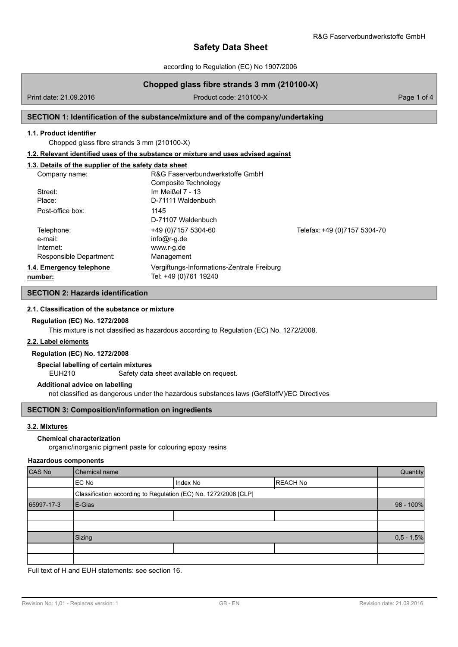according to Regulation (EC) No 1907/2006

# **Chopped glass fibre strands 3 mm (210100-X)**

Print date: 21.09.2016 **Product code: 210100-X** Product code: 210100-X Page 1 of 4

## **SECTION 1: Identification of the substance/mixture and of the company/undertaking**

# **1.1. Product identifier**

Chopped glass fibre strands 3 mm (210100-X)

#### **1.2. Relevant identified uses of the substance or mixture and uses advised against**

# **1.3. Details of the supplier of the safety data sheet**

| Company name:                                                 | R&G Faserverbundwerkstoffe GmbH<br>Composite Technology             |                              |
|---------------------------------------------------------------|---------------------------------------------------------------------|------------------------------|
| Street:<br>Place:                                             | Im Meißel $7 - 13$<br>D-71111 Waldenbuch                            |                              |
| Post-office box:                                              | 1145<br>D-71107 Waldenbuch                                          |                              |
| Telephone:<br>e-mail:<br>Internet:<br>Responsible Department: | +49 (0) 7157 5304-60<br>$info@r-q.de$<br>www.r-g.de<br>Management   | Telefax: +49 (0)7157 5304-70 |
| 1.4. Emergency telephone<br>number:                           | Vergiftungs-Informations-Zentrale Freiburg<br>Tel: +49 (0)761 19240 |                              |

# **SECTION 2: Hazards identification**

### **2.1. Classification of the substance or mixture**

# **Regulation (EC) No. 1272/2008**

This mixture is not classified as hazardous according to Regulation (EC) No. 1272/2008.

### **2.2. Label elements**

# **Regulation (EC) No. 1272/2008**

#### **Special labelling of certain mixtures**

EUH210 Safety data sheet available on request.

### **Additional advice on labelling**

not classified as dangerous under the hazardous substances laws (GefStoffV)/EC Directives

#### **SECTION 3: Composition/information on ingredients**

### **3.2. Mixtures**

#### **Chemical characterization**

organic/inorganic pigment paste for colouring epoxy resins

#### **Hazardous components**

| CAS No     | Chemical name                                                   |          |                 | Quantity     |
|------------|-----------------------------------------------------------------|----------|-----------------|--------------|
|            | EC No                                                           | Index No | <b>REACH No</b> |              |
|            | Classification according to Regulation (EC) No. 1272/2008 [CLP] |          |                 |              |
| 65997-17-3 | E-Glas                                                          |          | 98 - 100%       |              |
|            |                                                                 |          |                 |              |
|            |                                                                 |          |                 |              |
|            | Sizing                                                          |          |                 | $0,5 - 1,5%$ |
|            |                                                                 |          |                 |              |
|            |                                                                 |          |                 |              |

Full text of H and EUH statements: see section 16.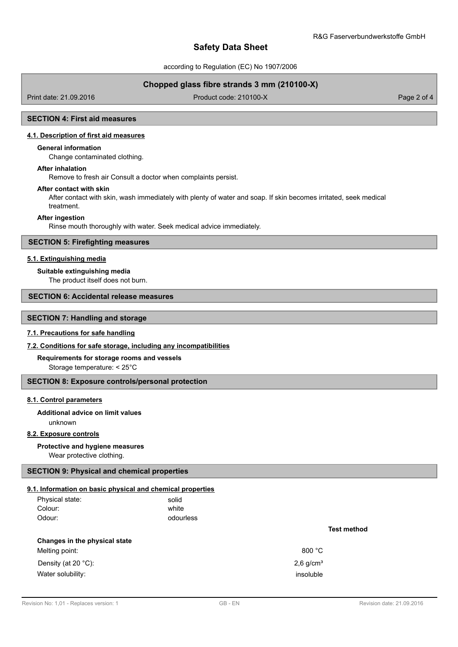according to Regulation (EC) No 1907/2006

# **Chopped glass fibre strands 3 mm (210100-X)**

Print date: 21.09.2016 **Product code: 210100-X** Product code: 210100-X Page 2 of 4

## **SECTION 4: First aid measures**

# **4.1. Description of first aid measures**

### **General information**

Change contaminated clothing.

### **After inhalation**

Remove to fresh air Consult a doctor when complaints persist.

#### **After contact with skin**

After contact with skin, wash immediately with plenty of water and soap. If skin becomes irritated, seek medical treatment.

#### **After ingestion**

Rinse mouth thoroughly with water. Seek medical advice immediately.

# **SECTION 5: Firefighting measures**

## **5.1. Extinguishing media**

#### **Suitable extinguishing media**

The product itself does not burn.

# **SECTION 6: Accidental release measures**

# **SECTION 7: Handling and storage**

### **7.1. Precautions for safe handling**

# **7.2. Conditions for safe storage, including any incompatibilities**

#### **Requirements for storage rooms and vessels**

Storage temperature: < 25°C

#### **SECTION 8: Exposure controls/personal protection**

#### **8.1. Control parameters**

# unknown **Additional advice on limit values**

#### **8.2. Exposure controls**

#### **Protective and hygiene measures**

Wear protective clothing.

# **SECTION 9: Physical and chemical properties**

#### **9.1. Information on basic physical and chemical properties**

| Physical state: | solid     |
|-----------------|-----------|
| Colour:         | white     |
| Odour:          | odourless |

#### **Changes in the physical state**

Melting point: 800 °C Density (at 20  $^{\circ}$ C): 2,6 g/cm<sup>3</sup> Water solubility: insoluble that the solubility: insoluble that the solubility: insoluble that the solubility:

**Test method**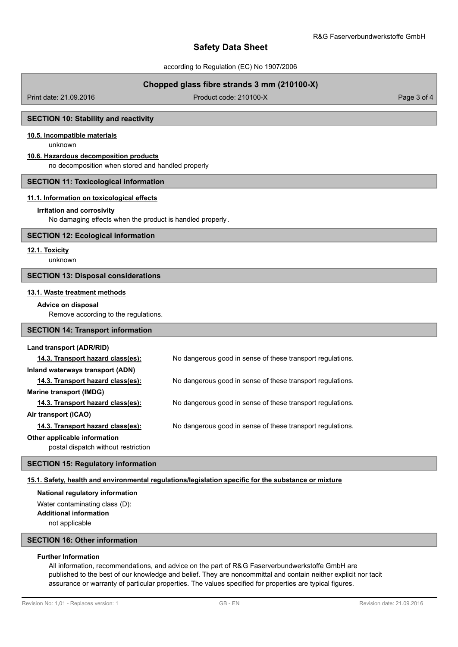according to Regulation (EC) No 1907/2006

# **Chopped glass fibre strands 3 mm (210100-X)**

Print date: 21.09.2016 **Product code: 210100-X** Product code: 210100-X Page 3 of 4

## **SECTION 10: Stability and reactivity**

# **10.5. Incompatible materials**

unknown

## **10.6. Hazardous decomposition products**

no decomposition when stored and handled properly

#### **SECTION 11: Toxicological information**

#### **11.1. Information on toxicological effects**

#### **Irritation and corrosivity**

No damaging effects when the product is handled properly.

### **SECTION 12: Ecological information**

### **12.1. Toxicity**

unknown

#### **SECTION 13: Disposal considerations**

#### **13.1. Waste treatment methods**

#### **Advice on disposal**

Remove according to the regulations.

# **SECTION 14: Transport information**

#### **Land transport (ADR/RID)**

| 14.3. Transport hazard class(es):   | No dangerous good in sense of these transport regulations. |
|-------------------------------------|------------------------------------------------------------|
| Inland waterways transport (ADN)    |                                                            |
| 14.3. Transport hazard class(es):   | No dangerous good in sense of these transport regulations. |
| Marine transport (IMDG)             |                                                            |
| 14.3. Transport hazard class(es):   | No dangerous good in sense of these transport regulations. |
| Air transport (ICAO)                |                                                            |
| 14.3. Transport hazard class(es):   | No dangerous good in sense of these transport regulations. |
| Other applicable information        |                                                            |
| postal dispatch without restriction |                                                            |

## **SECTION 15: Regulatory information**

#### **15.1. Safety, health and environmental regulations/legislation specific for the substance or mixture**

#### **National regulatory information**

Water contaminating class (D): **Additional information** not applicable

# **SECTION 16: Other information**

# **Further Information**

All information, recommendations, and advice on the part of R&G Faserverbundwerkstoffe GmbH are published to the best of our knowledge and belief. They are noncommittal and contain neither explicit nor tacit assurance or warranty of particular properties. The values specified for properties are typical figures.